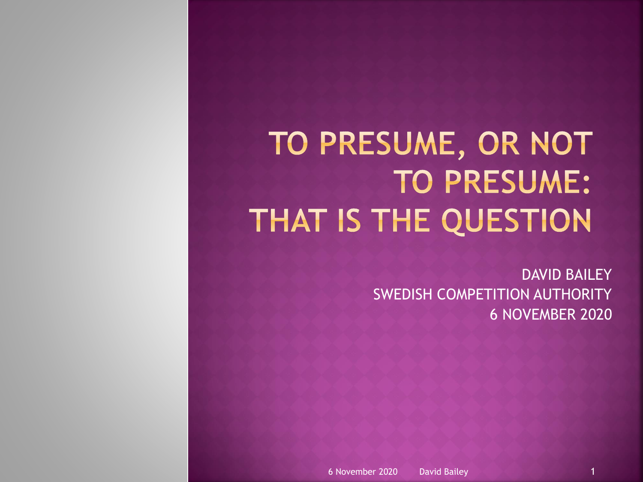## TO PRESUME, OR NOT **TO PRESUME:** THAT IS THE QUESTION

DAVID BAILEY SWEDISH COMPETITION AUTHORITY 6 NOVEMBER 2020

6 November 2020 David Bailey 1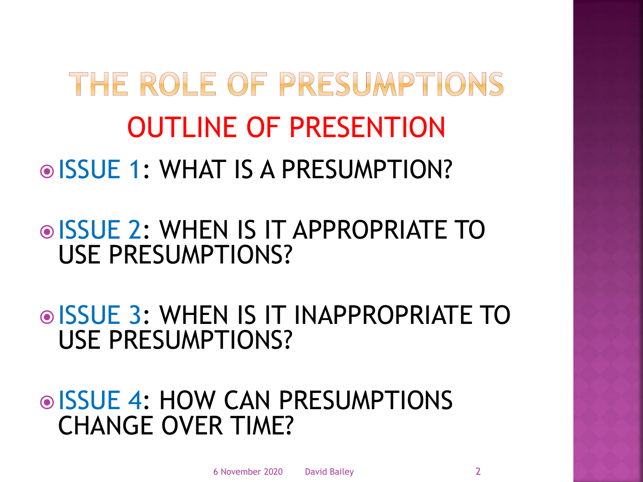## THE ROLE OF PRESUMPTIONS OUTLINE OF PRESENTION ISSUE 1: WHAT IS A PRESUMPTION?

#### ISSUE 2: WHEN IS IT APPROPRIATE TO USE PRESUMPTIONS?

**OISSUE 3: WHEN IS IT INAPPROPRIATE TO** USE PRESUMPTIONS?

**◎ ISSUE 4: HOW CAN PRESUMPTIONS** CHANGE OVER TIME?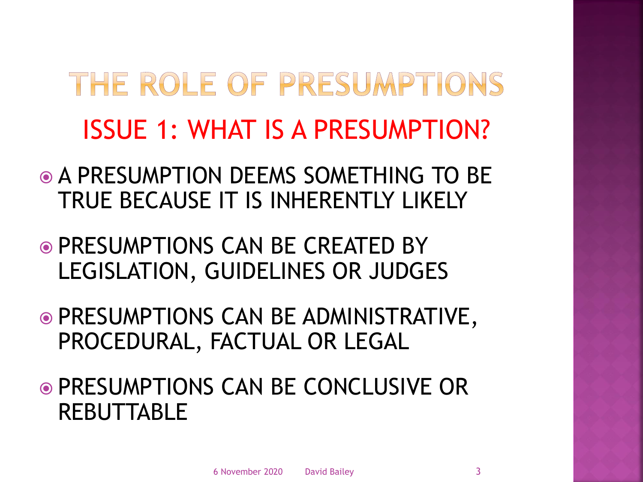## THE ROLE OF PRESUMPTIONS ISSUE 1: WHAT IS A PRESUMPTION?

- A PRESUMPTION DEEMS SOMETHING TO BE TRUE BECAUSE IT IS INHERENTLY LIKELY
- PRESUMPTIONS CAN BE CREATED BY LEGISLATION, GUIDELINES OR JUDGES
- PRESUMPTIONS CAN BE ADMINISTRATIVE, PROCEDURAL, FACTUAL OR LEGAL
- PRESUMPTIONS CAN BE CONCLUSIVE OR REBUTTABLE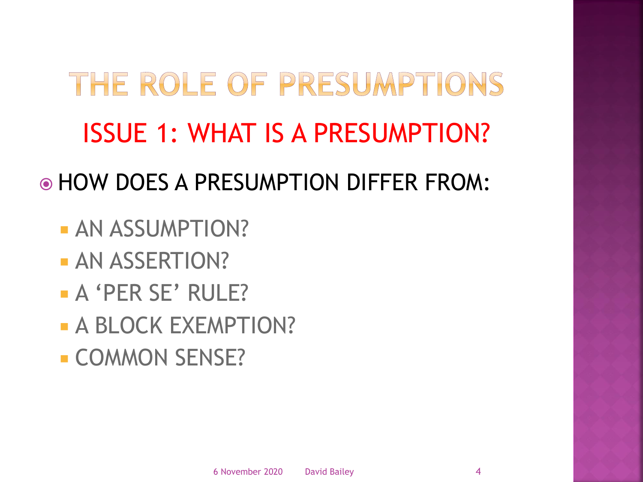# THE ROLE OF PRESUMPTIONS ISSUE 1: WHAT IS A PRESUMPTION?

HOW DOES A PRESUMPTION DIFFER FROM:

- **AN ASSUMPTION?**
- **AN ASSERTION?**
- **A** 'PER SE' RULE?
- **A BLOCK EXEMPTION?**
- **COMMON SENSE?**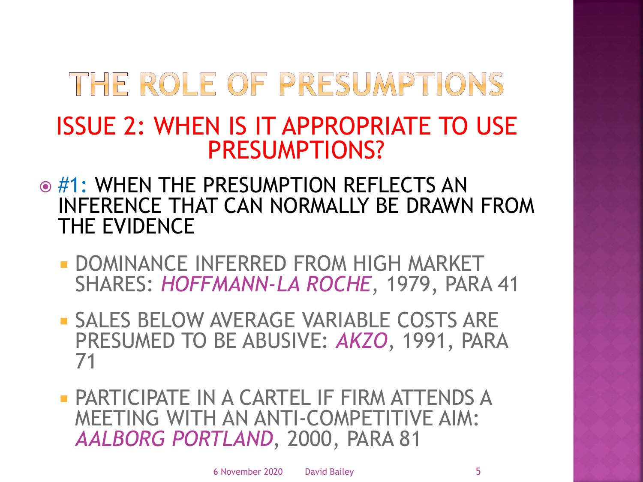#### ISSUE 2: WHEN IS IT APPROPRIATE TO USE PRESUMPTIONS?

- $\odot$  #1: WHEN THE PRESUMPTION REFLECTS AN INFERENCE THAT CAN NORMALLY BE DRAWN FROM THE EVIDENCE
	- **DOMINANCE INFERRED FROM HIGH MARKET** SHARES: *HOFFMANN-LA ROCHE*, 1979, PARA 41
	- **SALES BELOW AVERAGE VARIABLE COSTS ARE** PRESUMED TO BE ABUSIVE: *AKZO*, 1991, PARA 71
	- PARTICIPATE IN A CARTEL IF FIRM ATTENDS A MEETING WITH AN ANTI-COMPETITIVE AIM: *AALBORG PORTLAND*, 2000, PARA 81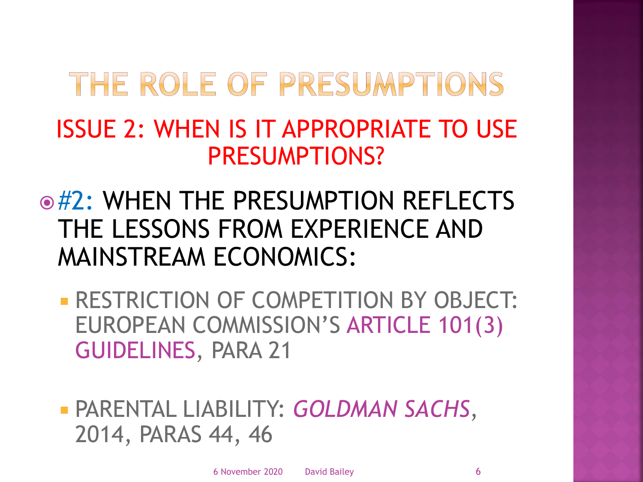#### ISSUE 2: WHEN IS IT APPROPRIATE TO USE PRESUMPTIONS?

**◎#2: WHEN THE PRESUMPTION REFLECTS** THE LESSONS FROM EXPERIENCE AND MAINSTREAM ECONOMICS:

**- RESTRICTION OF COMPETITION BY OBJECT:** EUROPEAN COMMISSION'S ARTICLE 101(3) GUIDELINES, PARA 21

 PARENTAL LIABILITY: *GOLDMAN SACHS*, 2014, PARAS 44, 46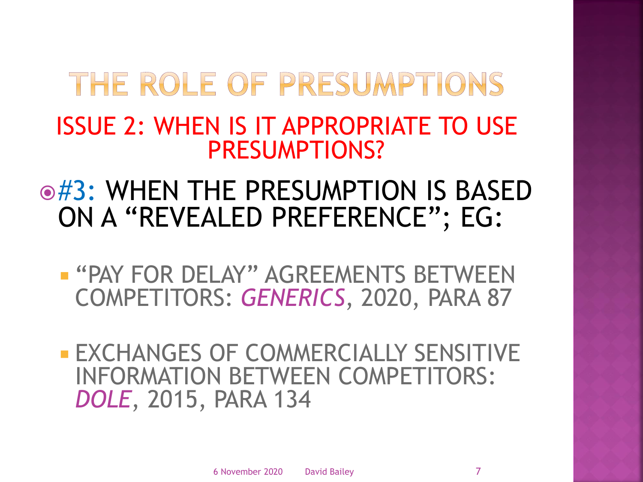#### ISSUE 2: WHEN IS IT APPROPRIATE TO USE PRESUMPTIONS?

#### $\odot$ #3: WHEN THE PRESUMPTION IS BASED ON A "REVEALED PREFERENCE"; EG:

**- "PAY FOR DELAY" AGREEMENTS BETWEEN** COMPETITORS: *GENERICS*, 2020, PARA 87

**EXCHANGES OF COMMERCIALLY SENSITIVE** INFORMATION BETWEEN COMPETITORS: *DOLE*, 2015, PARA 134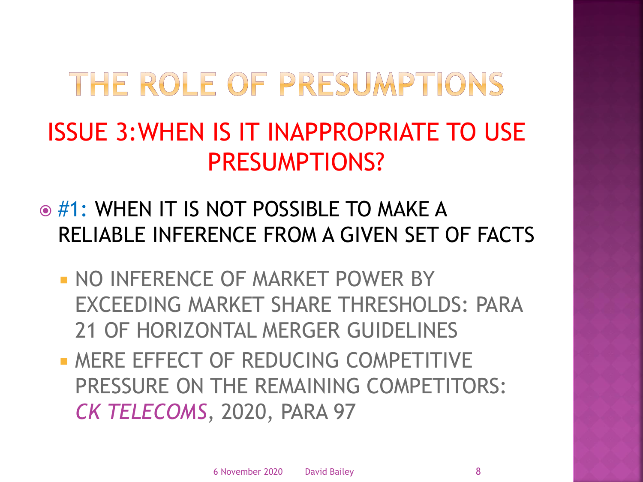### ISSUE 3:WHEN IS IT INAPPROPRIATE TO USE PRESUMPTIONS?

- $\odot$  #1: WHEN IT IS NOT POSSIBLE TO MAKE A RELIABLE INFERENCE FROM A GIVEN SET OF FACTS
	- **NO INFERENCE OF MARKET POWER BY** EXCEEDING MARKET SHARE THRESHOLDS: PARA 21 OF HORIZONTAL MERGER GUIDELINES
	- **MERE EFFECT OF REDUCING COMPETITIVE** PRESSURE ON THE REMAINING COMPETITORS: *CK TELECOMS*, 2020, PARA 97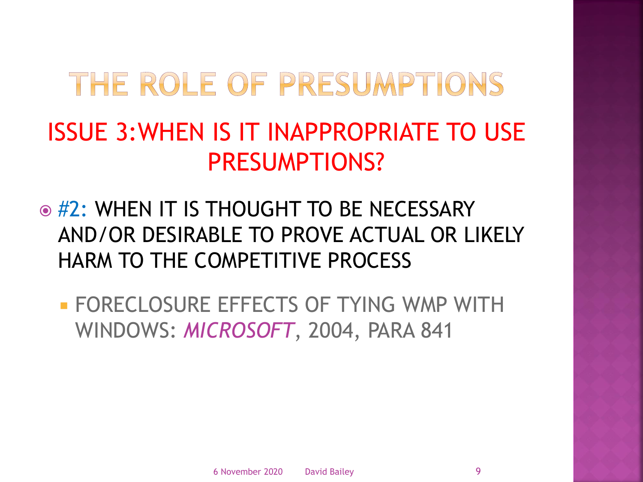### ISSUE 3:WHEN IS IT INAPPROPRIATE TO USE PRESUMPTIONS?

- $\odot$  #2: WHEN IT IS THOUGHT TO BE NECESSARY AND/OR DESIRABLE TO PROVE ACTUAL OR LIKELY HARM TO THE COMPETITIVE PROCESS
	- **FORECLOSURE EFFECTS OF TYING WMP WITH** WINDOWS: *MICROSOFT*, 2004, PARA 841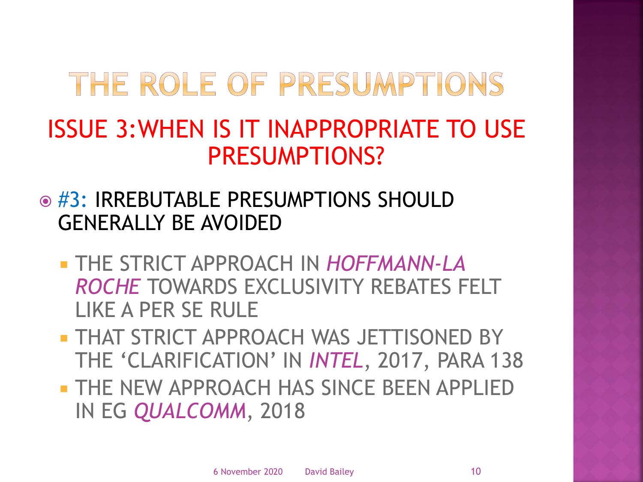#### ISSUE 3:WHEN IS IT INAPPROPRIATE TO USE PRESUMPTIONS?

- **◎ #3: IRREBUTABLE PRESUMPTIONS SHOULD** GENERALLY BE AVOIDED
	- THE STRICT APPROACH IN *HOFFMANN-LA ROCHE* TOWARDS EXCLUSIVITY REBATES FELT LIKE A PER SE RULE
	- **THAT STRICT APPROACH WAS JETTISONED BY** THE 'CLARIFICATION' IN *INTEL*, 2017, PARA 138
	- THE NEW APPROACH HAS SINCE BEEN APPLIED IN EG *QUALCOMM*, 2018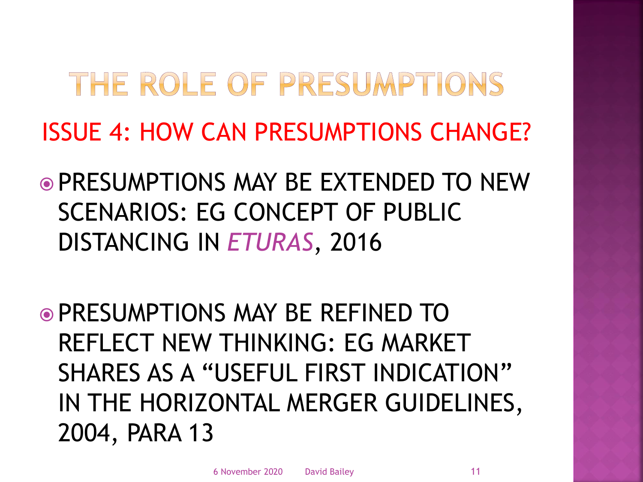## THE ROLE OF PRESUMPTIONS ISSUE 4: HOW CAN PRESUMPTIONS CHANGE?

- PRESUMPTIONS MAY BE EXTENDED TO NEW SCENARIOS: EG CONCEPT OF PUBLIC DISTANCING IN *ETURAS*, 2016
- PRESUMPTIONS MAY BE REFINED TO REFLECT NEW THINKING: EG MARKET SHARES AS A "USEFUL FIRST INDICATION" IN THE HORIZONTAL MERGER GUIDELINES, 2004, PARA 13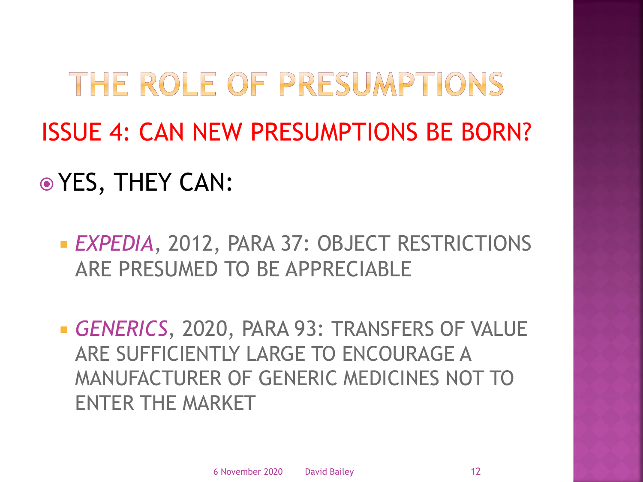# THE ROLE OF PRESUMPTIONS ISSUE 4: CAN NEW PRESUMPTIONS BE BORN? YES, THEY CAN:

 *EXPEDIA*, 2012, PARA 37: OBJECT RESTRICTIONS ARE PRESUMED TO BE APPRECIABLE

 *GENERICS*, 2020, PARA 93: TRANSFERS OF VALUE ARE SUFFICIENTLY LARGE TO ENCOURAGE A MANUFACTURER OF GENERIC MEDICINES NOT TO ENTER THE MARKET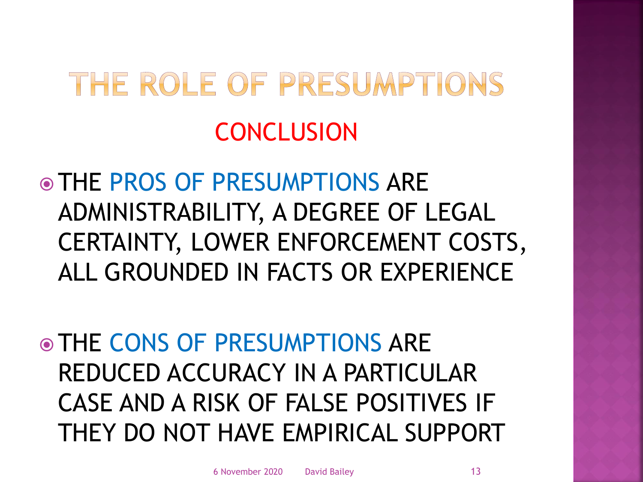# THE ROLE OF PRESUMPTIONS **CONCLUSION**

 THE PROS OF PRESUMPTIONS ARE ADMINISTRABILITY, A DEGREE OF LEGAL CERTAINTY, LOWER ENFORCEMENT COSTS, ALL GROUNDED IN FACTS OR EXPERIENCE

 THE CONS OF PRESUMPTIONS ARE REDUCED ACCURACY IN A PARTICULAR CASE AND A RISK OF FALSE POSITIVES IF THEY DO NOT HAVE EMPIRICAL SUPPORT